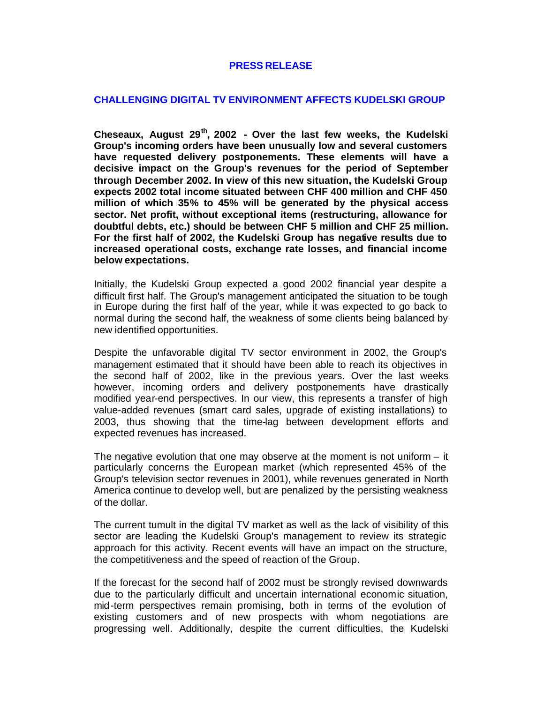## **PRESS RELEASE**

## **CHALLENGING DIGITAL TV ENVIRONMENT AFFECTS KUDELSKI GROUP**

**Cheseaux, August 29th, 2002 - Over the last few weeks, the Kudelski Group's incoming orders have been unusually low and several customers have requested delivery postponements. These elements will have a decisive impact on the Group's revenues for the period of September through December 2002. In view of this new situation, the Kudelski Group expects 2002 total income situated between CHF 400 million and CHF 450 million of which 35% to 45% will be generated by the physical access sector. Net profit, without exceptional items (restructuring, allowance for doubtful debts, etc.) should be between CHF 5 million and CHF 25 million. For the first half of 2002, the Kudelski Group has negative results due to increased operational costs, exchange rate losses, and financial income below expectations.**

Initially, the Kudelski Group expected a good 2002 financial year despite a difficult first half. The Group's management anticipated the situation to be tough in Europe during the first half of the year, while it was expected to go back to normal during the second half, the weakness of some clients being balanced by new identified opportunities.

Despite the unfavorable digital TV sector environment in 2002, the Group's management estimated that it should have been able to reach its objectives in the second half of 2002, like in the previous years. Over the last weeks however, incoming orders and delivery postponements have drastically modified year-end perspectives. In our view, this represents a transfer of high value-added revenues (smart card sales, upgrade of existing installations) to 2003, thus showing that the time-lag between development efforts and expected revenues has increased.

The negative evolution that one may observe at the moment is not uniform  $-$  it particularly concerns the European market (which represented 45% of the Group's television sector revenues in 2001), while revenues generated in North America continue to develop well, but are penalized by the persisting weakness of the dollar.

The current tumult in the digital TV market as well as the lack of visibility of this sector are leading the Kudelski Group's management to review its strategic approach for this activity. Recent events will have an impact on the structure, the competitiveness and the speed of reaction of the Group.

If the forecast for the second half of 2002 must be strongly revised downwards due to the particularly difficult and uncertain international economic situation, mid-term perspectives remain promising, both in terms of the evolution of existing customers and of new prospects with whom negotiations are progressing well. Additionally, despite the current difficulties, the Kudelski